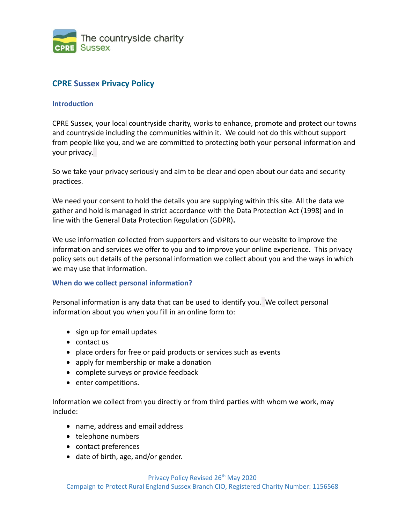

# **CPRE Sussex Privacy Policy**

### **Introduction**

CPRE Sussex, your local countryside charity, works to enhance, promote and protect our towns and countryside including the communities within it. We could not do this without support from people like you, and we are committed to protecting both your personal information and your privacy.

So we take your privacy seriously and aim to be clear and open about our data and security practices.

We need your consent to hold the details you are supplying within this site. All the data we gather and hold is managed in strict accordance with the Data Protection Act (1998) and in line with the General Data Protection Regulation (GDPR)**.**

We use information collected from supporters and visitors to our website to improve the information and services we offer to you and to improve your online experience. This privacy policy sets out details of the personal information we collect about you and the ways in which we may use that information.

### **When do we collect personal information?**

Personal information is any data that can be used to identify you. We collect personal information about you when you fill in an online form to:

- sign up for email updates
- contact us
- place orders for free or paid products or services such as events
- apply for membership or make a donation
- complete surveys or provide feedback
- enter competitions.

Information we collect from you directly or from third parties with whom we work, may include:

- name, address and email address
- telephone numbers
- contact preferences
- date of birth, age, and/or gender.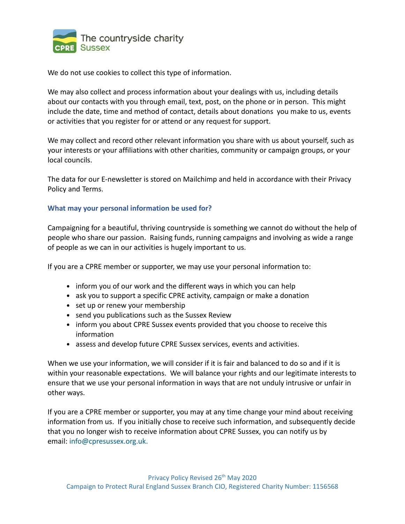

We do not use cookies to collect this type of information.

We may also collect and process information about your dealings with us, including details about our contacts with you through email, text, post, on the phone or in person. This might include the date, time and method of contact, details about donations you make to us, events or activities that you register for or attend or any request for support.

We may collect and record other relevant information you share with us about yourself, such as your interests or your affiliations with other charities, community or campaign groups, or your local councils.

The data for our E-newsletter is stored on Mailchimp and held in accordance with their [Privacy](https://mailchimp.com/legal/privacy/)  [Policy](https://mailchimp.com/legal/privacy/) and [Terms.](https://mailchimp.com/legal/terms/)

### **What may your personal information be used for?**

Campaigning for a beautiful, thriving countryside is something we cannot do without the help of people who share our passion. Raising funds, running campaigns and involving as wide a range of people as we can in our activities is hugely important to us.

If you are a CPRE member or supporter, we may use your personal information to:

- inform you of our work and the different ways in which you can help
- ask you to support a specific CPRE activity, campaign or make a donation
- set up or renew your membership
- send you publications such as the Sussex Review
- inform you about CPRE Sussex events provided that you choose to receive this information
- assess and develop future CPRE Sussex services, events and activities.

When we use your information, we will consider if it is fair and balanced to do so and if it is within your reasonable expectations. We will balance your rights and our legitimate interests to ensure that we use your personal information in ways that are not unduly intrusive or unfair in other ways.

If you are a CPRE member or supporter, you may at any time change your mind about receiving information from us. If you initially chose to receive such information, and subsequently decide that you no longer wish to receive information about CPRE Sussex, you can notify us by email: [info@cpresussex.org.uk.](mailto:info@cpresussex.org.uk)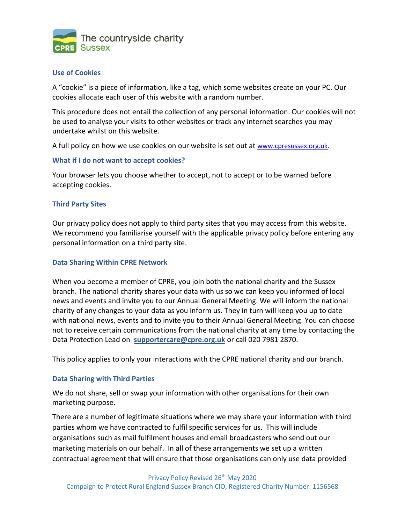

### **Use of Cookies**

A "cookie" is a piece of information, like a tag, which some websites create on your PC. Our cookies allocate each user of this website with a random number.

This procedure does not entail the collection of any personal information. Our cookies will not be used to analyse your visits to other websites or track any internet searches you may undertake whilst on this website.

A full policy on how we use cookies on our website is set out at [www.cpresussex.org.uk.](http://www.cpresussex.org.uk/)

### **What if I do not want to accept cookies?**

Your browser lets you choose whether to accept, not to accept or to be warned before accepting cookies.

### **Third Party Sites**

Our privacy policy does not apply to third party sites that you may access from this website. We recommend you familiarise yourself with the applicable privacy policy before entering any personal information on a third party site.

### **Data Sharing Within CPRE Network**

When you become a member of CPRE, you join both the national charity and the Sussex branch. The national charity shares your data with us so we can keep you informed of local news and events and invite you to our Annual General Meeting. We will inform the national charity of any changes to your data as you inform us. They in turn will keep you up to date with national news, events and to invite you to their Annual General Meeting. You can choose not to receive certain communications from the national charity at any time by contacting the Data Protection Lead on **[supportercare@cpre.org.uk](mailto:supportercare@cpre.org.uk)** or call 020 7981 2870.

This policy applies to only your interactions with the CPRE national charity and our branch.

### **Data Sharing with Third Parties**

We do not share, sell or swap your information with other organisations for their own marketing purpose.

There are a number of legitimate situations where we may share your information with third parties whom we have contracted to fulfil specific services for us. This will include organisations such as mail fulfilment houses and email broadcasters who send out our marketing materials on our behalf. In all of these arrangements we set up a written contractual agreement that will ensure that those organisations can only use data provided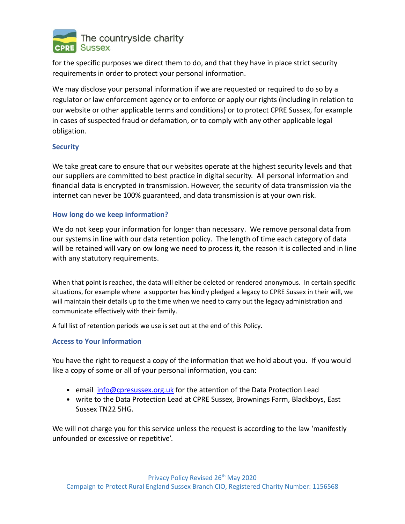

for the specific purposes we direct them to do, and that they have in place strict security requirements in order to protect your personal information.

We may disclose your personal information if we are requested or required to do so by a regulator or law enforcement agency or to enforce or apply our rights (including in relation to our website or other applicable terms and conditions) or to protect CPRE Sussex, for example in cases of suspected fraud or defamation, or to comply with any other applicable legal obligation.

## **Security**

We take great care to ensure that our websites operate at the highest security levels and that our suppliers are committed to best practice in digital security. All personal information and financial data is encrypted in transmission. However, the security of data transmission via the internet can never be 100% guaranteed, and data transmission is at your own risk.

# **How long do we keep information?**

We do not keep your information for longer than necessary. We remove personal data from our systems in line with our data retention policy. The length of time each category of data will be retained will vary on ow long we need to process it, the reason it is collected and in line with any statutory requirements.

When that point is reached, the data will either be deleted or rendered anonymous. In certain specific situations, for example where a supporter has kindly pledged a legacy to CPRE Sussex in their will, we will maintain their details up to the time when we need to carry out the legacy administration and communicate effectively with their family.

A full list of retention periods we use is set out at the end of this Policy.

## **Access to Your Information**

You have the right to request a copy of the information that we hold about you. If you would like a copy of some or all of your personal information, you can:

- email [info@cpresussex.org.uk](mailto:info@cpresussex.org.uk) for the attention of the Data Protection Lead
- write to the Data Protection Lead at CPRE Sussex, Brownings Farm, Blackboys, East Sussex TN22 5HG.

We will not charge you for this service unless the request is according to the law 'manifestly unfounded or excessive or repetitive'.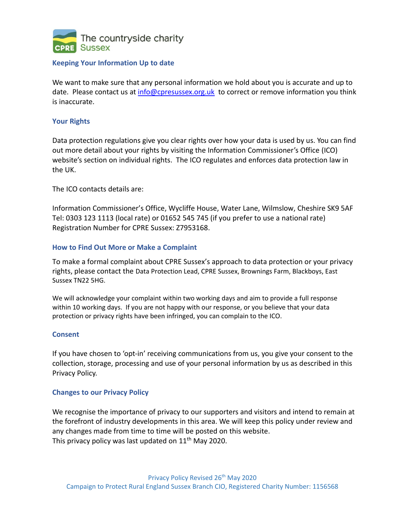

## **Keeping Your Information Up to date**

We want to make sure that any personal information we hold about you is accurate and up to date. Please [contact us](https://www.ncvo.org.uk/contact-us) at [info@cpresussex.org.uk](mailto:info@cpresussex.org.uk) to correct or remove information you think is inaccurate.

### **Your Rights**

Data protection regulations give you clear rights over how your data is used by us. You can find out more detail about your rights by visiting the Information Commissioner's Office (ICO) website's section on [individual rights.](https://ico.org.uk/for-organisations/guide-to-the-general-data-protection-regulation-gdpr/individual-rights) The ICO regulates and enforces data protection law in the UK.

The ICO contacts details are:

Information Commissioner's Office, Wycliffe House, Water Lane, Wilmslow, Cheshire SK9 5AF Tel: 0303 123 1113 (local rate) or 01652 545 745 (if you prefer to use a national rate) Registration Number for CPRE Sussex: Z7953168.

### **How to Find Out More or Make a Complaint**

To make a formal complaint about CPRE Sussex's approach to data protection or your privacy rights, please contact the Data Protection Lead, CPRE Sussex, Brownings Farm, Blackboys, East Sussex TN22 5HG.

We will acknowledge your complaint within two working days and aim to provide a full response within 10 working days. If you are not happy with our response, or you believe that your data protection or privacy rights have been infringed, you can complain to the ICO.

### **Consent**

If you have chosen to 'opt-in' receiving communications from us, you give your consent to the collection, storage, processing and use of your personal information by us as described in this Privacy Policy.

### **Changes to our Privacy Policy**

We recognise the importance of privacy to our supporters and visitors and intend to remain at the forefront of industry developments in this area. We will keep this policy under review and any changes made from time to time will be posted on this website. This privacy policy was last updated on 11<sup>th</sup> May 2020.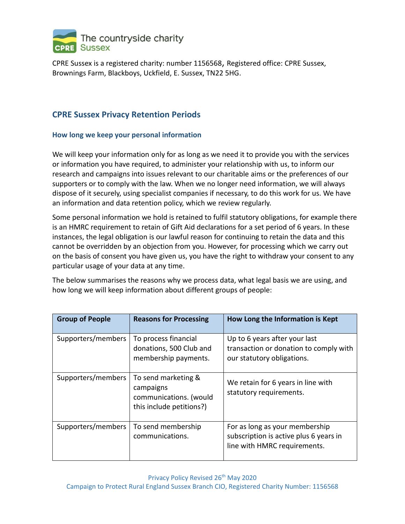

CPRE Sussex is a registered charity: number 1156568, Registered office: CPRE Sussex, Brownings Farm, Blackboys, Uckfield, E. Sussex, TN22 5HG.

# **CPRE Sussex Privacy Retention Periods**

# **How long we keep your personal information**

We will keep your information only for as long as we need it to provide you with the services or information you have required, to administer your relationship with us, to inform our research and campaigns into issues relevant to our charitable aims or the preferences of our supporters or to comply with the law. When we no longer need information, we will always dispose of it securely, using specialist companies if necessary, to do this work for us. We have an information and data retention policy, which we review regularly.

Some personal information we hold is retained to fulfil statutory obligations, for example there is an HMRC requirement to retain of Gift Aid declarations for a set period of 6 years. In these instances, the legal obligation is our lawful reason for continuing to retain the data and this cannot be overridden by an objection from you. However, for processing which we carry out on the basis of consent you have given us, you have the right to withdraw your consent to any particular usage of your data at any time.

The below summarises the reasons why we process data, what legal basis we are using, and how long we will keep information about different groups of people:

| <b>Group of People</b> | <b>Reasons for Processing</b>                                                          | How Long the Information is Kept                                                                         |
|------------------------|----------------------------------------------------------------------------------------|----------------------------------------------------------------------------------------------------------|
| Supporters/members     | To process financial<br>donations, 500 Club and<br>membership payments.                | Up to 6 years after your last<br>transaction or donation to comply with<br>our statutory obligations.    |
| Supporters/members     | To send marketing &<br>campaigns<br>communications. (would<br>this include petitions?) | We retain for 6 years in line with<br>statutory requirements.                                            |
| Supporters/members     | To send membership<br>communications.                                                  | For as long as your membership<br>subscription is active plus 6 years in<br>line with HMRC requirements. |